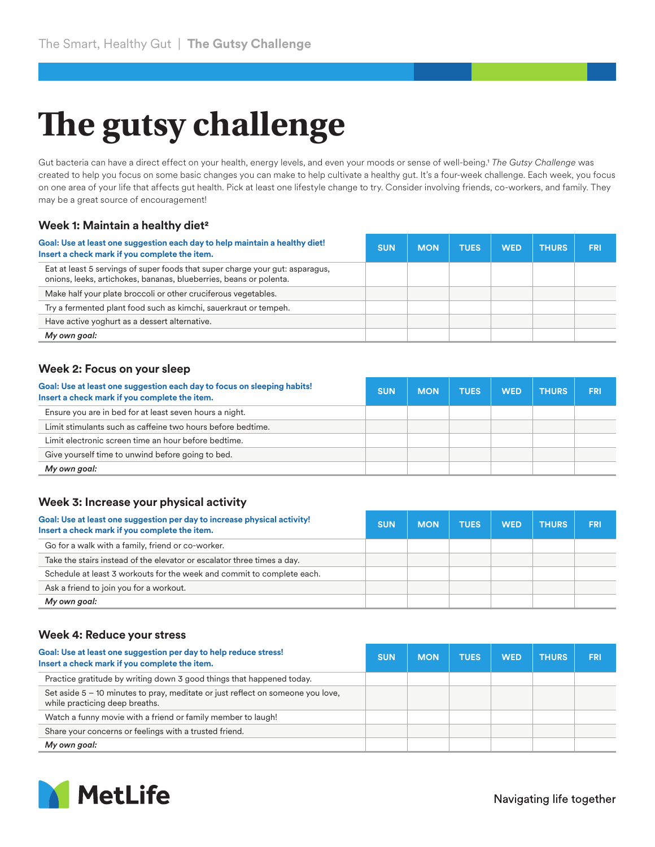# **The gutsy challenge**

Gut bacteria can have a direct effect on your health, energy levels, and even your moods or sense of well-being.1 *The Gutsy Challenge* was created to help you focus on some basic changes you can make to help cultivate a healthy gut. It's a four-week challenge. Each week, you focus on one area of your life that affects gut health. Pick at least one lifestyle change to try. Consider involving friends, co-workers, and family. They may be a great source of encouragement!

## **Week 1: Maintain a healthy diet2**

| Goal: Use at least one suggestion each day to help maintain a healthy diet!<br>Insert a check mark if you complete the item.                        | <b>SUN</b> | <b>MON</b> | <b>TUES</b> | <b>WED</b> | <b>THURS</b> | <b>FRI</b> |
|-----------------------------------------------------------------------------------------------------------------------------------------------------|------------|------------|-------------|------------|--------------|------------|
| Eat at least 5 servings of super foods that super charge your gut: asparagus,<br>onions, leeks, artichokes, bananas, blueberries, beans or polenta. |            |            |             |            |              |            |
| Make half your plate broccoli or other cruciferous vegetables.                                                                                      |            |            |             |            |              |            |
| Try a fermented plant food such as kimchi, sauerkraut or tempeh.                                                                                    |            |            |             |            |              |            |
| Have active yoghurt as a dessert alternative.                                                                                                       |            |            |             |            |              |            |
| My own goal:                                                                                                                                        |            |            |             |            |              |            |

#### **Week 2: Focus on your sleep**

| Goal: Use at least one suggestion each day to focus on sleeping habits!<br>Insert a check mark if you complete the item. | <b>SUN</b> | <b>MON</b> | <b>TUES</b> | <b>WED</b> | <b>THURS</b> | <b>FRI</b> |
|--------------------------------------------------------------------------------------------------------------------------|------------|------------|-------------|------------|--------------|------------|
| Ensure you are in bed for at least seven hours a night.                                                                  |            |            |             |            |              |            |
| Limit stimulants such as caffeine two hours before bedtime.                                                              |            |            |             |            |              |            |
| Limit electronic screen time an hour before bedtime.                                                                     |            |            |             |            |              |            |
| Give yourself time to unwind before going to bed.                                                                        |            |            |             |            |              |            |
| My own goal:                                                                                                             |            |            |             |            |              |            |

### **Week 3: Increase your physical activity**

| Goal: Use at least one suggestion per day to increase physical activity!<br>Insert a check mark if you complete the item. | <b>SUN</b> | <b>MON</b> | <b>TUES</b> | <b>WED</b> | <b>THURS</b> | <b>FRI</b> |
|---------------------------------------------------------------------------------------------------------------------------|------------|------------|-------------|------------|--------------|------------|
| Go for a walk with a family, friend or co-worker.                                                                         |            |            |             |            |              |            |
| Take the stairs instead of the elevator or escalator three times a day.                                                   |            |            |             |            |              |            |
| Schedule at least 3 workouts for the week and commit to complete each.                                                    |            |            |             |            |              |            |
| Ask a friend to join you for a workout.                                                                                   |            |            |             |            |              |            |
| My own goal:                                                                                                              |            |            |             |            |              |            |

#### **Week 4: Reduce your stress**

| Goal: Use at least one suggestion per day to help reduce stress!<br>Insert a check mark if you complete the item. | <b>SUN</b> | <b>MON</b> | <b>TUES</b> | <b>WED</b> | <b>THURS</b> | <b>FRI</b> |
|-------------------------------------------------------------------------------------------------------------------|------------|------------|-------------|------------|--------------|------------|
| Practice gratitude by writing down 3 good things that happened today.                                             |            |            |             |            |              |            |
| Set aside 5 – 10 minutes to pray, meditate or just reflect on someone you love,<br>while practicing deep breaths. |            |            |             |            |              |            |
| Watch a funny movie with a friend or family member to laugh!                                                      |            |            |             |            |              |            |
| Share your concerns or feelings with a trusted friend.                                                            |            |            |             |            |              |            |
| My own goal:                                                                                                      |            |            |             |            |              |            |